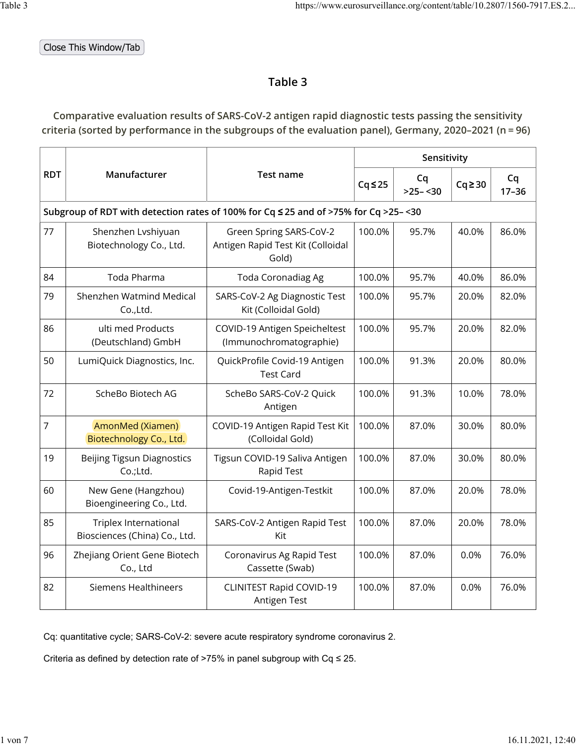Close This Window/Tab

## **Table 3**

## **Comparative evaluation results of SARS-CoV-2 antigen rapid diagnostic tests passing the sensitivity criteria (sorted by performance in the subgroups of the evaluation panel), Germany, 2020–2021 (n = 96)**

|            |                                                               |                                                                                     |              | Sensitivity     |              |                 |
|------------|---------------------------------------------------------------|-------------------------------------------------------------------------------------|--------------|-----------------|--------------|-----------------|
| <b>RDT</b> | Manufacturer                                                  | Test name                                                                           | $Cq \leq 25$ | Cq<br>$>25-<30$ | $Cq \geq 30$ | Cq<br>$17 - 36$ |
|            |                                                               | Subgroup of RDT with detection rates of 100% for Cq ≤ 25 and of >75% for Cq >25-<30 |              |                 |              |                 |
| 77         | Shenzhen Lvshiyuan<br>Biotechnology Co., Ltd.                 | Green Spring SARS-CoV-2<br>Antigen Rapid Test Kit (Colloidal<br>Gold)               | 100.0%       | 95.7%           | 40.0%        | 86.0%           |
| 84         | Toda Pharma                                                   | <b>Toda Coronadiag Ag</b>                                                           | 100.0%       | 95.7%           | 40.0%        | 86.0%           |
| 79         | Shenzhen Watmind Medical<br>Co.,Ltd.                          | SARS-CoV-2 Ag Diagnostic Test<br>Kit (Colloidal Gold)                               | 100.0%       | 95.7%           | 20.0%        | 82.0%           |
| 86         | ulti med Products<br>(Deutschland) GmbH                       | COVID-19 Antigen Speicheltest<br>(Immunochromatographie)                            | 100.0%       | 95.7%           | 20.0%        | 82.0%           |
| 50         | LumiQuick Diagnostics, Inc.                                   | QuickProfile Covid-19 Antigen<br><b>Test Card</b>                                   | 100.0%       | 91.3%           | 20.0%        | 80.0%           |
| 72         | ScheBo Biotech AG                                             | ScheBo SARS-CoV-2 Quick<br>Antigen                                                  | 100.0%       | 91.3%           | 10.0%        | 78.0%           |
| 7          | AmonMed (Xiamen)<br>Biotechnology Co., Ltd.                   | COVID-19 Antigen Rapid Test Kit<br>(Colloidal Gold)                                 | 100.0%       | 87.0%           | 30.0%        | 80.0%           |
| 19         | <b>Beijing Tigsun Diagnostics</b><br>Co.;Ltd.                 | Tigsun COVID-19 Saliva Antigen<br>Rapid Test                                        | 100.0%       | 87.0%           | 30.0%        | 80.0%           |
| 60         | New Gene (Hangzhou)<br>Bioengineering Co., Ltd.               | Covid-19-Antigen-Testkit                                                            | 100.0%       | 87.0%           | 20.0%        | 78.0%           |
| 85         | <b>Triplex International</b><br>Biosciences (China) Co., Ltd. | SARS-CoV-2 Antigen Rapid Test<br>Kit                                                | 100.0%       | 87.0%           | 20.0%        | 78.0%           |
| 96         | Zhejiang Orient Gene Biotech<br>Co., Ltd                      | Coronavirus Ag Rapid Test<br>Cassette (Swab)                                        | 100.0%       | 87.0%           | 0.0%         | 76.0%           |
| 82         | <b>Siemens Healthineers</b>                                   | <b>CLINITEST Rapid COVID-19</b><br>Antigen Test                                     | 100.0%       | 87.0%           | 0.0%         | 76.0%           |

Cq: quantitative cycle; SARS-CoV-2: severe acute respiratory syndrome coronavirus 2.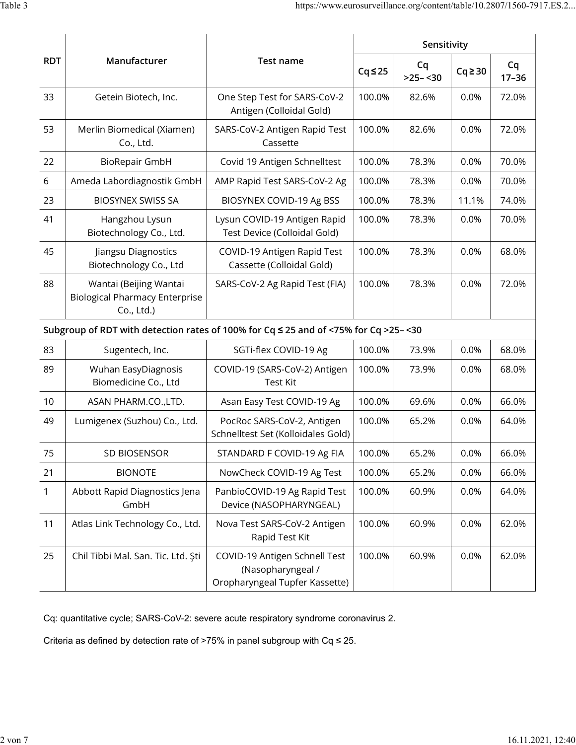|              |                                                                               | <b>Test name</b>                                                                     |              | Sensitivity      |              |                 |
|--------------|-------------------------------------------------------------------------------|--------------------------------------------------------------------------------------|--------------|------------------|--------------|-----------------|
| <b>RDT</b>   | Manufacturer                                                                  |                                                                                      | $Cq \leq 25$ | Cq<br>$>25 - 30$ | $Cq \geq 30$ | Cq<br>$17 - 36$ |
| 33           | Getein Biotech, Inc.                                                          | One Step Test for SARS-CoV-2<br>Antigen (Colloidal Gold)                             | 100.0%       | 82.6%            | 0.0%         | 72.0%           |
| 53           | Merlin Biomedical (Xiamen)<br>Co., Ltd.                                       | SARS-CoV-2 Antigen Rapid Test<br>Cassette                                            | 100.0%       | 82.6%            | 0.0%         | 72.0%           |
| 22           | <b>BioRepair GmbH</b>                                                         | Covid 19 Antigen Schnelltest                                                         | 100.0%       | 78.3%            | 0.0%         | 70.0%           |
| 6            | Ameda Labordiagnostik GmbH                                                    | AMP Rapid Test SARS-CoV-2 Ag                                                         | 100.0%       | 78.3%            | 0.0%         | 70.0%           |
| 23           | <b>BIOSYNEX SWISS SA</b>                                                      | BIOSYNEX COVID-19 Ag BSS                                                             | 100.0%       | 78.3%            | 11.1%        | 74.0%           |
| 41           | Hangzhou Lysun<br>Biotechnology Co., Ltd.                                     | Lysun COVID-19 Antigen Rapid<br>Test Device (Colloidal Gold)                         | 100.0%       | 78.3%            | 0.0%         | 70.0%           |
| 45           | Jiangsu Diagnostics<br>Biotechnology Co., Ltd                                 | COVID-19 Antigen Rapid Test<br>Cassette (Colloidal Gold)                             | 100.0%       | 78.3%            | 0.0%         | 68.0%           |
| 88           | Wantai (Beijing Wantai<br><b>Biological Pharmacy Enterprise</b><br>Co., Ltd.) | SARS-CoV-2 Ag Rapid Test (FIA)                                                       | 100.0%       | 78.3%            | 0.0%         | 72.0%           |
|              |                                                                               | Subgroup of RDT with detection rates of 100% for Cq ≤ 25 and of <75% for Cq >25-<30  |              |                  |              |                 |
| 83           | Sugentech, Inc.                                                               | SGTi-flex COVID-19 Ag                                                                | 100.0%       | 73.9%            | 0.0%         | 68.0%           |
| 89           | Wuhan EasyDiagnosis<br>Biomedicine Co., Ltd                                   | COVID-19 (SARS-CoV-2) Antigen<br><b>Test Kit</b>                                     | 100.0%       | 73.9%            | 0.0%         | 68.0%           |
| 10           | ASAN PHARM.CO.,LTD.                                                           | Asan Easy Test COVID-19 Ag                                                           | 100.0%       | 69.6%            | 0.0%         | 66.0%           |
| 49           | Lumigenex (Suzhou) Co., Ltd.                                                  | PocRoc SARS-CoV-2, Antigen<br>Schnelltest Set (Kolloidales Gold)                     | 100.0%       | 65.2%            | 0.0%         | 64.0%           |
| 75           | <b>SD BIOSENSOR</b>                                                           | STANDARD F COVID-19 Ag FIA                                                           | 100.0%       | 65.2%            | 0.0%         | 66.0%           |
| 21           | <b>BIONOTE</b>                                                                | NowCheck COVID-19 Ag Test                                                            | 100.0%       | 65.2%            | 0.0%         | 66.0%           |
| $\mathbf{1}$ | Abbott Rapid Diagnostics Jena<br>GmbH                                         | PanbioCOVID-19 Ag Rapid Test<br>Device (NASOPHARYNGEAL)                              | 100.0%       | 60.9%            | 0.0%         | 64.0%           |
| 11           | Atlas Link Technology Co., Ltd.                                               | Nova Test SARS-CoV-2 Antigen<br>Rapid Test Kit                                       | 100.0%       | 60.9%            | 0.0%         | 62.0%           |
| 25           | Chil Tibbi Mal. San. Tic. Ltd. Şti                                            | COVID-19 Antigen Schnell Test<br>(Nasopharyngeal /<br>Oropharyngeal Tupfer Kassette) | 100.0%       | 60.9%            | 0.0%         | 62.0%           |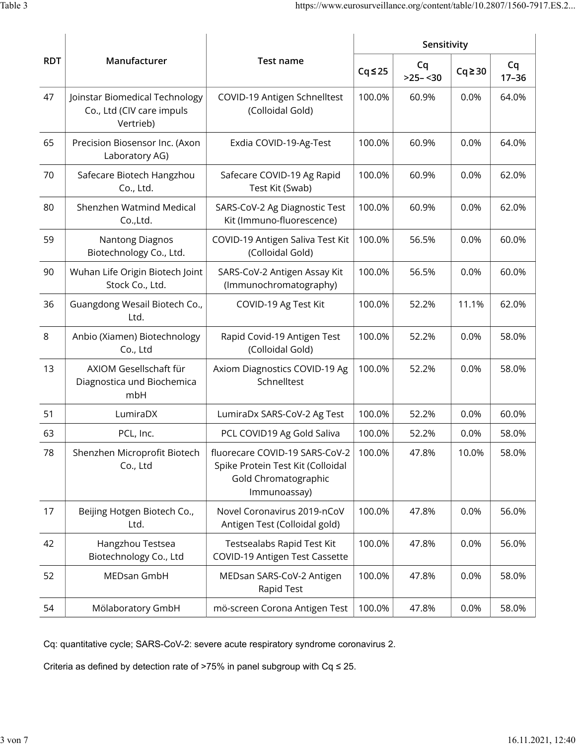|            |                                                                          |                                                                                                             |              | Sensitivity      |              |                 |
|------------|--------------------------------------------------------------------------|-------------------------------------------------------------------------------------------------------------|--------------|------------------|--------------|-----------------|
| <b>RDT</b> | Manufacturer                                                             | Test name                                                                                                   | $Cq \leq 25$ | Cq<br>$>25 - 30$ | $Cq \geq 30$ | Cq<br>$17 - 36$ |
| 47         | Joinstar Biomedical Technology<br>Co., Ltd (CIV care impuls<br>Vertrieb) | COVID-19 Antigen Schnelltest<br>(Colloidal Gold)                                                            | 100.0%       | 60.9%            | 0.0%         | 64.0%           |
| 65         | Precision Biosensor Inc. (Axon<br>Laboratory AG)                         | Exdia COVID-19-Ag-Test                                                                                      | 100.0%       | 60.9%            | 0.0%         | 64.0%           |
| 70         | Safecare Biotech Hangzhou<br>Co., Ltd.                                   | Safecare COVID-19 Ag Rapid<br>Test Kit (Swab)                                                               | 100.0%       | 60.9%            | 0.0%         | 62.0%           |
| 80         | Shenzhen Watmind Medical<br>Co., Ltd.                                    | SARS-CoV-2 Ag Diagnostic Test<br>Kit (Immuno-fluorescence)                                                  | 100.0%       | 60.9%            | 0.0%         | 62.0%           |
| 59         | <b>Nantong Diagnos</b><br>Biotechnology Co., Ltd.                        | COVID-19 Antigen Saliva Test Kit<br>(Colloidal Gold)                                                        | 100.0%       | 56.5%            | 0.0%         | 60.0%           |
| 90         | Wuhan Life Origin Biotech Joint<br>Stock Co., Ltd.                       | SARS-CoV-2 Antigen Assay Kit<br>(Immunochromatography)                                                      | 100.0%       | 56.5%            | 0.0%         | 60.0%           |
| 36         | Guangdong Wesail Biotech Co.,<br>Ltd.                                    | COVID-19 Ag Test Kit                                                                                        | 100.0%       | 52.2%            | 11.1%        | 62.0%           |
| 8          | Anbio (Xiamen) Biotechnology<br>Co., Ltd                                 | Rapid Covid-19 Antigen Test<br>(Colloidal Gold)                                                             | 100.0%       | 52.2%            | 0.0%         | 58.0%           |
| 13         | AXIOM Gesellschaft für<br>Diagnostica und Biochemica<br>mbH              | Axiom Diagnostics COVID-19 Ag<br>Schnelltest                                                                | 100.0%       | 52.2%            | 0.0%         | 58.0%           |
| 51         | LumiraDX                                                                 | LumiraDx SARS-CoV-2 Ag Test                                                                                 | 100.0%       | 52.2%            | 0.0%         | 60.0%           |
| 63         | PCL, Inc.                                                                | PCL COVID19 Ag Gold Saliva                                                                                  | 100.0%       | 52.2%            | 0.0%         | 58.0%           |
| 78         | Shenzhen Microprofit Biotech<br>Co., Ltd                                 | fluorecare COVID-19 SARS-CoV-2<br>Spike Protein Test Kit (Colloidal<br>Gold Chromatographic<br>Immunoassay) | 100.0%       | 47.8%            | 10.0%        | 58.0%           |
| 17         | Beijing Hotgen Biotech Co.,<br>Ltd.                                      | Novel Coronavirus 2019-nCoV<br>Antigen Test (Colloidal gold)                                                | 100.0%       | 47.8%            | 0.0%         | 56.0%           |
| 42         | Hangzhou Testsea<br>Biotechnology Co., Ltd                               | Testsealabs Rapid Test Kit<br>COVID-19 Antigen Test Cassette                                                | 100.0%       | 47.8%            | 0.0%         | 56.0%           |
| 52         | MEDsan GmbH                                                              | MEDsan SARS-CoV-2 Antigen<br>Rapid Test                                                                     | 100.0%       | 47.8%            | 0.0%         | 58.0%           |
| 54         | Mölaboratory GmbH                                                        | mö-screen Corona Antigen Test                                                                               | 100.0%       | 47.8%            | 0.0%         | 58.0%           |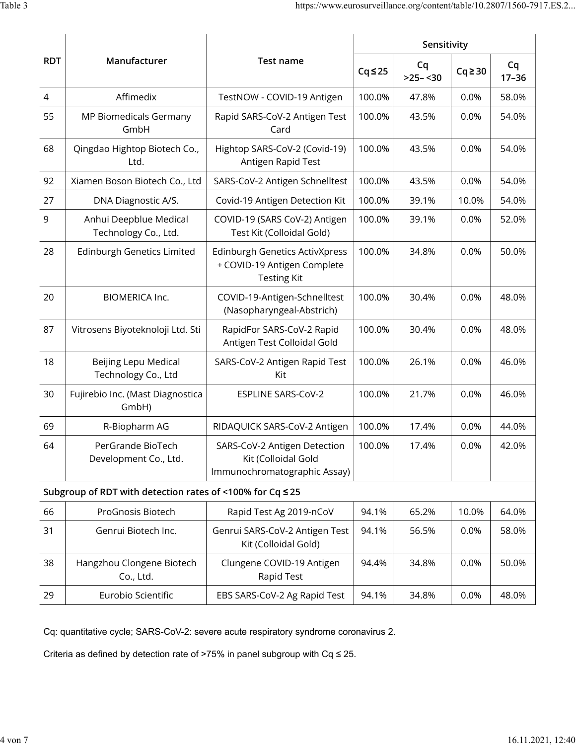|                | Manufacturer<br><b>Test name</b>                          | Sensitivity                                                                                |              |                 |              |                 |
|----------------|-----------------------------------------------------------|--------------------------------------------------------------------------------------------|--------------|-----------------|--------------|-----------------|
| <b>RDT</b>     |                                                           |                                                                                            | $Cq \leq 25$ | Cq<br>$>25-<30$ | $Cq \geq 30$ | Cq<br>$17 - 36$ |
| $\overline{4}$ | Affimedix                                                 | TestNOW - COVID-19 Antigen                                                                 | 100.0%       | 47.8%           | 0.0%         | 58.0%           |
| 55             | MP Biomedicals Germany<br>GmbH                            | Rapid SARS-CoV-2 Antigen Test<br>Card                                                      | 100.0%       | 43.5%           | 0.0%         | 54.0%           |
| 68             | Qingdao Hightop Biotech Co.,<br>Ltd.                      | Hightop SARS-CoV-2 (Covid-19)<br>Antigen Rapid Test                                        | 100.0%       | 43.5%           | 0.0%         | 54.0%           |
| 92             | Xiamen Boson Biotech Co., Ltd                             | SARS-CoV-2 Antigen Schnelltest                                                             | 100.0%       | 43.5%           | 0.0%         | 54.0%           |
| 27             | DNA Diagnostic A/S.                                       | Covid-19 Antigen Detection Kit                                                             | 100.0%       | 39.1%           | 10.0%        | 54.0%           |
| 9              | Anhui Deepblue Medical<br>Technology Co., Ltd.            | COVID-19 (SARS CoV-2) Antigen<br>Test Kit (Colloidal Gold)                                 | 100.0%       | 39.1%           | 0.0%         | 52.0%           |
| 28             | <b>Edinburgh Genetics Limited</b>                         | <b>Edinburgh Genetics ActivXpress</b><br>+ COVID-19 Antigen Complete<br><b>Testing Kit</b> | 100.0%       | 34.8%           | 0.0%         | 50.0%           |
| 20             | <b>BIOMERICA Inc.</b>                                     | COVID-19-Antigen-Schnelltest<br>(Nasopharyngeal-Abstrich)                                  | 100.0%       | 30.4%           | 0.0%         | 48.0%           |
| 87             | Vitrosens Biyoteknoloji Ltd. Sti                          | RapidFor SARS-CoV-2 Rapid<br>Antigen Test Colloidal Gold                                   | 100.0%       | 30.4%           | 0.0%         | 48.0%           |
| 18             | Beijing Lepu Medical<br>Technology Co., Ltd               | SARS-CoV-2 Antigen Rapid Test<br>Kit                                                       | 100.0%       | 26.1%           | 0.0%         | 46.0%           |
| 30             | Fujirebio Inc. (Mast Diagnostica<br>GmbH)                 | <b>ESPLINE SARS-CoV-2</b>                                                                  | 100.0%       | 21.7%           | 0.0%         | 46.0%           |
| 69             | R-Biopharm AG                                             | RIDAQUICK SARS-CoV-2 Antigen                                                               | 100.0%       | 17.4%           | 0.0%         | 44.0%           |
| 64             | PerGrande BioTech<br>Development Co., Ltd.                | SARS-CoV-2 Antigen Detection<br>Kit (Colloidal Gold<br>Immunochromatographic Assay)        | 100.0%       | 17.4%           | 0.0%         | 42.0%           |
|                | Subgroup of RDT with detection rates of <100% for Cq ≤ 25 |                                                                                            |              |                 |              |                 |
| 66             | ProGnosis Biotech                                         | Rapid Test Ag 2019-nCoV                                                                    | 94.1%        | 65.2%           | 10.0%        | 64.0%           |
| 31             | Genrui Biotech Inc.                                       | Genrui SARS-CoV-2 Antigen Test<br>Kit (Colloidal Gold)                                     | 94.1%        | 56.5%           | 0.0%         | 58.0%           |
| 38             | Hangzhou Clongene Biotech<br>Co., Ltd.                    | Clungene COVID-19 Antigen<br>Rapid Test                                                    | 94.4%        | 34.8%           | 0.0%         | 50.0%           |
| 29             | Eurobio Scientific                                        | EBS SARS-CoV-2 Ag Rapid Test                                                               | 94.1%        | 34.8%           | 0.0%         | 48.0%           |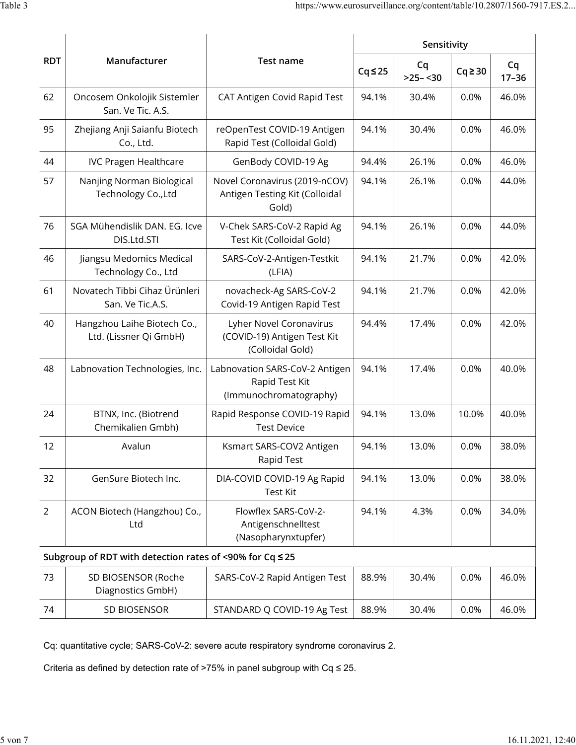|                |                                                          | Sensitivity<br><b>Test name</b><br>Cq<br>$Cq \leq 25$<br>$>25-<30$         |       |       |              |                 |
|----------------|----------------------------------------------------------|----------------------------------------------------------------------------|-------|-------|--------------|-----------------|
| <b>RDT</b>     | Manufacturer                                             |                                                                            |       |       | $Cq \geq 30$ | Cq<br>$17 - 36$ |
| 62             | Oncosem Onkolojik Sistemler<br>San. Ve Tic. A.S.         | CAT Antigen Covid Rapid Test                                               | 94.1% | 30.4% | 0.0%         | 46.0%           |
| 95             | Zhejiang Anji Saianfu Biotech<br>Co., Ltd.               | reOpenTest COVID-19 Antigen<br>Rapid Test (Colloidal Gold)                 | 94.1% | 30.4% | 0.0%         | 46.0%           |
| 44             | <b>IVC Pragen Healthcare</b>                             | GenBody COVID-19 Ag                                                        | 94.4% | 26.1% | 0.0%         | 46.0%           |
| 57             | Nanjing Norman Biological<br>Technology Co., Ltd         | Novel Coronavirus (2019-nCOV)<br>Antigen Testing Kit (Colloidal<br>Gold)   | 94.1% | 26.1% | 0.0%         | 44.0%           |
| 76             | SGA Mühendislik DAN. EG. Icve<br>DIS.Ltd.STI             | V-Chek SARS-CoV-2 Rapid Ag<br>Test Kit (Colloidal Gold)                    | 94.1% | 26.1% | 0.0%         | 44.0%           |
| 46             | Jiangsu Medomics Medical<br>Technology Co., Ltd          | SARS-CoV-2-Antigen-Testkit<br>(LFIA)                                       | 94.1% | 21.7% | 0.0%         | 42.0%           |
| 61             | Novatech Tibbi Cihaz Ürünleri<br>San. Ve Tic.A.S.        | novacheck-Ag SARS-CoV-2<br>Covid-19 Antigen Rapid Test                     | 94.1% | 21.7% | 0.0%         | 42.0%           |
| 40             | Hangzhou Laihe Biotech Co.,<br>Ltd. (Lissner Qi GmbH)    | Lyher Novel Coronavirus<br>(COVID-19) Antigen Test Kit<br>(Colloidal Gold) | 94.4% | 17.4% | 0.0%         | 42.0%           |
| 48             | Labnovation Technologies, Inc.                           | Labnovation SARS-CoV-2 Antigen<br>Rapid Test Kit<br>(Immunochromatography) | 94.1% | 17.4% | 0.0%         | 40.0%           |
| 24             | BTNX, Inc. (Biotrend<br>Chemikalien Gmbh)                | Rapid Response COVID-19 Rapid<br><b>Test Device</b>                        | 94.1% | 13.0% | 10.0%        | 40.0%           |
| 12             | Avalun                                                   | Ksmart SARS-COV2 Antigen<br>Rapid Test                                     | 94.1% | 13.0% | 0.0%         | 38.0%           |
| 32             | GenSure Biotech Inc.                                     | DIA-COVID COVID-19 Ag Rapid<br><b>Test Kit</b>                             | 94.1% | 13.0% | 0.0%         | 38.0%           |
| $\overline{2}$ | ACON Biotech (Hangzhou) Co.,<br>Ltd                      | Flowflex SARS-CoV-2-<br>Antigenschnelltest<br>(Nasopharynxtupfer)          | 94.1% | 4.3%  | 0.0%         | 34.0%           |
|                | Subgroup of RDT with detection rates of <90% for Cq ≤ 25 |                                                                            |       |       |              |                 |
| 73             | SD BIOSENSOR (Roche<br>Diagnostics GmbH)                 | SARS-CoV-2 Rapid Antigen Test                                              | 88.9% | 30.4% | 0.0%         | 46.0%           |
| 74             | SD BIOSENSOR                                             | STANDARD Q COVID-19 Ag Test                                                | 88.9% | 30.4% | 0.0%         | 46.0%           |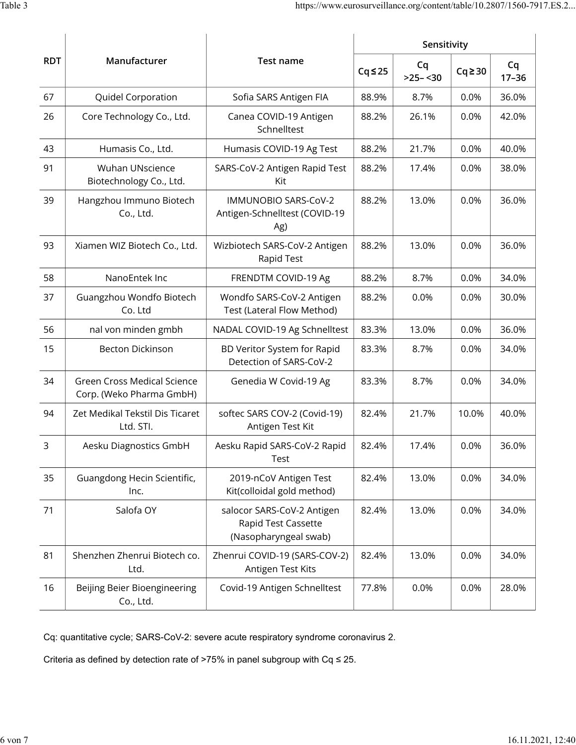|            |                                                                |                                                                            | Sensitivity  |                 |              |                 |
|------------|----------------------------------------------------------------|----------------------------------------------------------------------------|--------------|-----------------|--------------|-----------------|
| <b>RDT</b> | Manufacturer                                                   | Test name                                                                  | $Cq \leq 25$ | Cq<br>$>25-<30$ | $Cq \geq 30$ | Cq<br>$17 - 36$ |
| 67         | Quidel Corporation                                             | Sofia SARS Antigen FIA                                                     | 88.9%        | 8.7%            | 0.0%         | 36.0%           |
| 26         | Core Technology Co., Ltd.                                      | Canea COVID-19 Antigen<br>Schnelltest                                      | 88.2%        | 26.1%           | 0.0%         | 42.0%           |
| 43         | Humasis Co., Ltd.                                              | Humasis COVID-19 Ag Test                                                   | 88.2%        | 21.7%           | 0.0%         | 40.0%           |
| 91         | <b>Wuhan UNscience</b><br>Biotechnology Co., Ltd.              | SARS-CoV-2 Antigen Rapid Test<br>Kit                                       | 88.2%        | 17.4%           | 0.0%         | 38.0%           |
| 39         | Hangzhou Immuno Biotech<br>Co., Ltd.                           | IMMUNOBIO SARS-CoV-2<br>Antigen-Schnelltest (COVID-19<br>Ag)               | 88.2%        | 13.0%           | 0.0%         | 36.0%           |
| 93         | Xiamen WIZ Biotech Co., Ltd.                                   | Wizbiotech SARS-CoV-2 Antigen<br>Rapid Test                                | 88.2%        | 13.0%           | 0.0%         | 36.0%           |
| 58         | NanoEntek Inc                                                  | FRENDTM COVID-19 Ag                                                        | 88.2%        | 8.7%            | 0.0%         | 34.0%           |
| 37         | Guangzhou Wondfo Biotech<br>Co. Ltd                            | Wondfo SARS-CoV-2 Antigen<br>Test (Lateral Flow Method)                    | 88.2%        | 0.0%            | 0.0%         | 30.0%           |
| 56         | nal von minden gmbh                                            | NADAL COVID-19 Ag Schnelltest                                              | 83.3%        | 13.0%           | 0.0%         | 36.0%           |
| 15         | <b>Becton Dickinson</b>                                        | BD Veritor System for Rapid<br>Detection of SARS-CoV-2                     | 83.3%        | 8.7%            | 0.0%         | 34.0%           |
| 34         | <b>Green Cross Medical Science</b><br>Corp. (Weko Pharma GmbH) | Genedia W Covid-19 Ag                                                      | 83.3%        | 8.7%            | 0.0%         | 34.0%           |
| 94         | Zet Medikal Tekstil Dis Ticaret<br>Ltd. STI.                   | softec SARS COV-2 (Covid-19)<br>Antigen Test Kit                           | 82.4%        | 21.7%           | 10.0%        | 40.0%           |
| 3          | Aesku Diagnostics GmbH                                         | Aesku Rapid SARS-CoV-2 Rapid<br>Test                                       | 82.4%        | 17.4%           | 0.0%         | 36.0%           |
| 35         | Guangdong Hecin Scientific,<br>Inc.                            | 2019-nCoV Antigen Test<br>Kit(colloidal gold method)                       | 82.4%        | 13.0%           | 0.0%         | 34.0%           |
| 71         | Salofa OY                                                      | salocor SARS-CoV-2 Antigen<br>Rapid Test Cassette<br>(Nasopharyngeal swab) | 82.4%        | 13.0%           | 0.0%         | 34.0%           |
| 81         | Shenzhen Zhenrui Biotech co.<br>Ltd.                           | Zhenrui COVID-19 (SARS-COV-2)<br>Antigen Test Kits                         | 82.4%        | 13.0%           | 0.0%         | 34.0%           |
| 16         | Beijing Beier Bioengineering<br>Co., Ltd.                      | Covid-19 Antigen Schnelltest                                               | 77.8%        | 0.0%            | 0.0%         | 28.0%           |